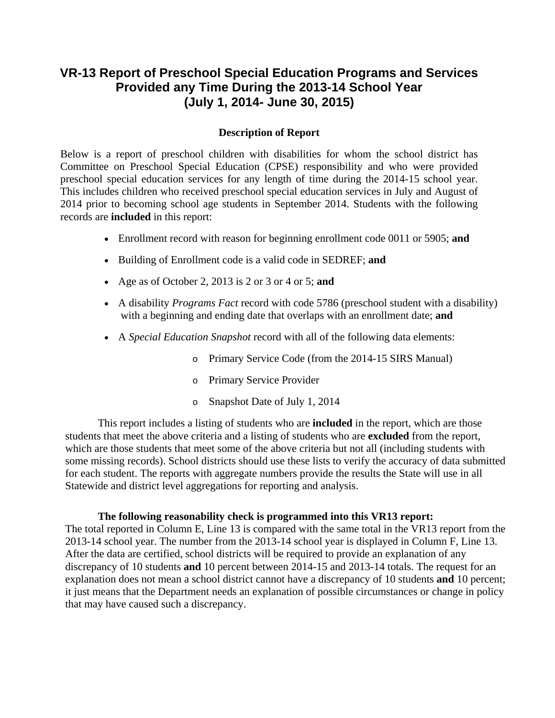## **VR-13 Report of Preschool Special Education Programs and Services Provided any Time During the 2013-14 School Year (July 1, 2014- June 30, 2015)**

## **Description of Report**

Below is a report of preschool children with disabilities for whom the school district has Committee on Preschool Special Education (CPSE) responsibility and who were provided preschool special education services for any length of time during the 2014-15 school year. This includes children who received preschool special education services in July and August of 2014 prior to becoming school age students in September 2014. Students with the following records are **included** in this report:

- Enrollment record with reason for beginning enrollment code 0011 or 5905; **and**
- Building of Enrollment code is a valid code in SEDREF; **and**
- Age as of October 2, 2013 is 2 or 3 or 4 or 5; **and**
- with a beginning and ending date that overlaps with an enrollment date; **and** A disability *Programs Fact* record with code 5786 (preschool student with a disability)
- A *Special Education Snapshot* record with all of the following data elements:
	- o Primary Service Code (from the 2014-15 SIRS Manual)
	- o Primary Service Provider
	- o Snapshot Date of July 1, 2014

This report includes a listing of students who are **included** in the report, which are those students that meet the above criteria and a listing of students who are **excluded** from the report, which are those students that meet some of the above criteria but not all (including students with some missing records). School districts should use these lists to verify the accuracy of data submitted for each student. The reports with aggregate numbers provide the results the State will use in all Statewide and district level aggregations for reporting and analysis.

## **The following reasonability check is programmed into this VR13 report:**

The total reported in Column E, Line 13 is compared with the same total in the VR13 report from the 2013-14 school year. The number from the 2013-14 school year is displayed in Column F, Line 13. After the data are certified, school districts will be required to provide an explanation of any discrepancy of 10 students **and** 10 percent between 2014-15 and 2013-14 totals. The request for an explanation does not mean a school district cannot have a discrepancy of 10 students **and** 10 percent; it just means that the Department needs an explanation of possible circumstances or change in policy that may have caused such a discrepancy.